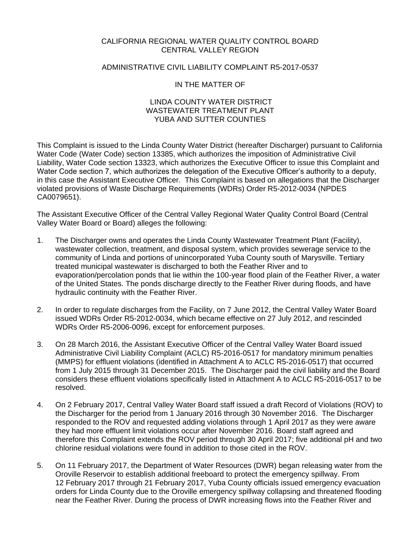#### CALIFORNIA REGIONAL WATER QUALITY CONTROL BOARD CENTRAL VALLEY REGION

#### ADMINISTRATIVE CIVIL LIABILITY COMPLAINT R5-2017-0537

#### IN THE MATTER OF

#### LINDA COUNTY WATER DISTRICT WASTEWATER TREATMENT PLANT YUBA AND SUTTER COUNTIES

This Complaint is issued to the Linda County Water District (hereafter Discharger) pursuant to California Water Code (Water Code) section 13385, which authorizes the imposition of Administrative Civil Liability, Water Code section 13323, which authorizes the Executive Officer to issue this Complaint and Water Code section 7, which authorizes the delegation of the Executive Officer's authority to a deputy, in this case the Assistant Executive Officer. This Complaint is based on allegations that the Discharger violated provisions of Waste Discharge Requirements (WDRs) Order R5-2012-0034 (NPDES CA0079651).

The Assistant Executive Officer of the Central Valley Regional Water Quality Control Board (Central Valley Water Board or Board) alleges the following:

- 1. The Discharger owns and operates the Linda County Wastewater Treatment Plant (Facility), wastewater collection, treatment, and disposal system, which provides sewerage service to the community of Linda and portions of unincorporated Yuba County south of Marysville. Tertiary treated municipal wastewater is discharged to both the Feather River and to evaporation/percolation ponds that lie within the 100-year flood plain of the Feather River, a water of the United States. The ponds discharge directly to the Feather River during floods, and have hydraulic continuity with the Feather River.
- 2. In order to regulate discharges from the Facility, on 7 June 2012, the Central Valley Water Board issued WDRs Order R5-2012-0034, which became effective on 27 July 2012, and rescinded WDRs Order R5-2006-0096, except for enforcement purposes.
- 3. On 28 March 2016, the Assistant Executive Officer of the Central Valley Water Board issued Administrative Civil Liability Complaint (ACLC) R5-2016-0517 for mandatory minimum penalties (MMPS) for effluent violations (identified in Attachment A to ACLC R5-2016-0517) that occurred from 1 July 2015 through 31 December 2015. The Discharger paid the civil liability and the Board considers these effluent violations specifically listed in Attachment A to ACLC R5-2016-0517 to be resolved.
- 4. On 2 February 2017, Central Valley Water Board staff issued a draft Record of Violations (ROV) to the Discharger for the period from 1 January 2016 through 30 November 2016. The Discharger responded to the ROV and requested adding violations through 1 April 2017 as they were aware they had more effluent limit violations occur after November 2016. Board staff agreed and therefore this Complaint extends the ROV period through 30 April 2017; five additional pH and two chlorine residual violations were found in addition to those cited in the ROV.
- 5. On 11 February 2017, the Department of Water Resources (DWR) began releasing water from the Oroville Reservoir to establish additional freeboard to protect the emergency spillway. From 12 February 2017 through 21 February 2017, Yuba County officials issued emergency evacuation orders for Linda County due to the Oroville emergency spillway collapsing and threatened flooding near the Feather River. During the process of DWR increasing flows into the Feather River and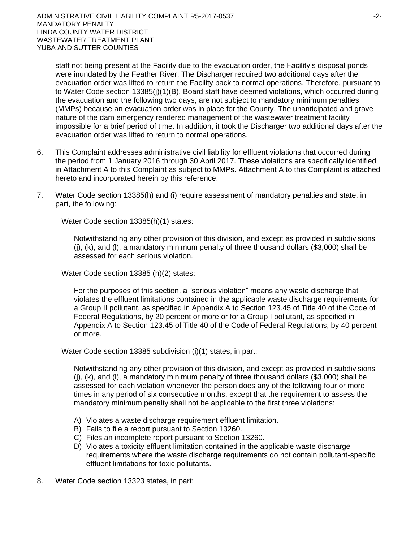staff not being present at the Facility due to the evacuation order, the Facility's disposal ponds were inundated by the Feather River. The Discharger required two additional days after the evacuation order was lifted to return the Facility back to normal operations. Therefore, pursuant to to Water Code section 13385(j)(1)(B), Board staff have deemed violations, which occurred during the evacuation and the following two days, are not subject to mandatory minimum penalties (MMPs) because an evacuation order was in place for the County. The unanticipated and grave nature of the dam emergency rendered management of the wastewater treatment facility impossible for a brief period of time. In addition, it took the Discharger two additional days after the evacuation order was lifted to return to normal operations.

- 6. This Complaint addresses administrative civil liability for effluent violations that occurred during the period from 1 January 2016 through 30 April 2017. These violations are specifically identified in Attachment A to this Complaint as subject to MMPs. Attachment A to this Complaint is attached hereto and incorporated herein by this reference.
- 7. Water Code section 13385(h) and (i) require assessment of mandatory penalties and state, in part, the following:

Water Code section 13385(h)(1) states:

Notwithstanding any other provision of this division, and except as provided in subdivisions  $(i)$ ,  $(k)$ , and  $(l)$ , a mandatory minimum penalty of three thousand dollars (\$3,000) shall be assessed for each serious violation.

Water Code section 13385 (h)(2) states:

For the purposes of this section, a "serious violation" means any waste discharge that violates the effluent limitations contained in the applicable waste discharge requirements for a Group II pollutant, as specified in Appendix A to Section 123.45 of Title 40 of the Code of Federal Regulations, by 20 percent or more or for a Group I pollutant, as specified in Appendix A to Section 123.45 of Title 40 of the Code of Federal Regulations, by 40 percent or more.

Water Code section 13385 subdivision (i)(1) states, in part:

Notwithstanding any other provision of this division, and except as provided in subdivisions (j), (k), and (l), a mandatory minimum penalty of three thousand dollars (\$3,000) shall be assessed for each violation whenever the person does any of the following four or more times in any period of six consecutive months, except that the requirement to assess the mandatory minimum penalty shall not be applicable to the first three violations:

- A) Violates a waste discharge requirement effluent limitation.
- B) Fails to file a report pursuant to Section 13260.
- C) Files an incomplete report pursuant to Section 13260.
- D) Violates a toxicity effluent limitation contained in the applicable waste discharge requirements where the waste discharge requirements do not contain pollutant-specific effluent limitations for toxic pollutants.
- 8. Water Code section 13323 states, in part: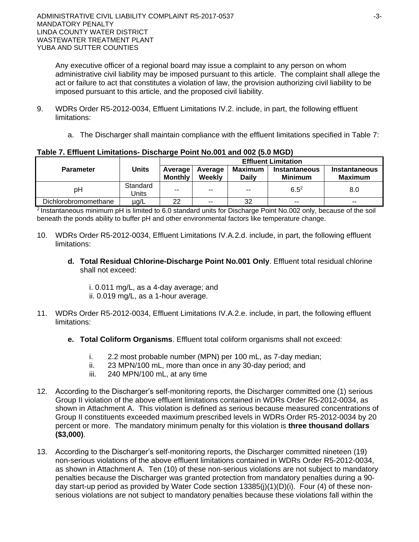Any executive officer of a regional board may issue a complaint to any person on whom administrative civil liability may be imposed pursuant to this article. The complaint shall allege the act or failure to act that constitutes a violation of law, the provision authorizing civil liability to be imposed pursuant to this article, and the proposed civil liability.

- 9. WDRs Order R5-2012-0034, Effluent Limitations IV.2. include, in part, the following effluent limitations:
	- a. The Discharger shall maintain compliance with the effluent limitations specified in Table 7:

|                      | Units             | <b>Effluent Limitation</b> |                   |                                |                                        |                                 |  |
|----------------------|-------------------|----------------------------|-------------------|--------------------------------|----------------------------------------|---------------------------------|--|
| <b>Parameter</b>     |                   | Average<br><b>Monthly</b>  | Average<br>Weekly | <b>Maximum</b><br><b>Daily</b> | <b>Instantaneous</b><br><b>Minimum</b> | Instantaneous<br><b>Maximum</b> |  |
| рH                   | Standard<br>Units | $- -$                      | $-$               | $- -$                          | $6.5^{2}$                              | 8.0                             |  |
| Dichlorobromomethane | µg/L              | 22                         | $\sim$ $\sim$     | 32                             | $- -$                                  | $- -$                           |  |

#### **Table 7. Effluent Limitations- Discharge Point No.001 and 002 (5.0 MGD)**

<sup>2</sup> Instantaneous minimum pH is limited to 6.0 standard units for Discharge Point No.002 only, because of the soil beneath the ponds ability to buffer pH and other environmental factors like temperature change.

- 10. WDRs Order R5-2012-0034, Effluent Limitations IV.A.2.d. include, in part, the following effluent limitations:
	- **d. Total Residual Chlorine-Discharge Point No.001 Only**. Effluent total residual chlorine shall not exceed:
		- i. 0.011 mg/L, as a 4-day average; and ii. 0.019 mg/L, as a 1-hour average.
- 11. WDRs Order R5-2012-0034, Effluent Limitations IV.A.2.e. include, in part, the following effluent limitations:
	- **e. Total Coliform Organisms**. Effluent total coliform organisms shall not exceed:
		- i. 2.2 most probable number (MPN) per 100 mL, as 7-day median;
		- ii. 23 MPN/100 mL, more than once in any 30-day period; and
		- iii. 240 MPN/100 mL, at any time
- 12. According to the Discharger's self-monitoring reports, the Discharger committed one (1) serious Group II violation of the above effluent limitations contained in WDRs Order R5-2012-0034, as shown in Attachment A. This violation is defined as serious because measured concentrations of Group II constituents exceeded maximum prescribed levels in WDRs Order R5-2012-0034 by 20 percent or more. The mandatory minimum penalty for this violation is **three thousand dollars (\$3,000)**.
- 13. According to the Discharger's self-monitoring reports, the Discharger committed nineteen (19) non-serious violations of the above effluent limitations contained in WDRs Order R5-2012-0034, as shown in Attachment A. Ten (10) of these non-serious violations are not subject to mandatory penalties because the Discharger was granted protection from mandatory penalties during a 90 day start-up period as provided by Water Code section 13385(j)(1)(D)(i). Four (4) of these nonserious violations are not subject to mandatory penalties because these violations fall within the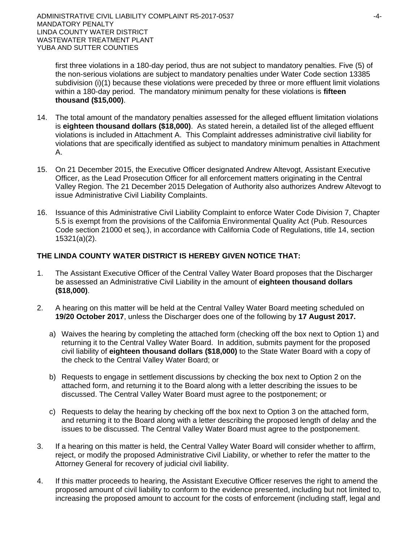first three violations in a 180-day period, thus are not subject to mandatory penalties. Five (5) of the non-serious violations are subject to mandatory penalties under Water Code section 13385 subdivision (i)(1) because these violations were preceded by three or more effluent limit violations within a 180-day period. The mandatory minimum penalty for these violations is **fifteen thousand (\$15,000)**.

- 14. The total amount of the mandatory penalties assessed for the alleged effluent limitation violations is **eighteen thousand dollars (\$18,000)**.As stated herein, a detailed list of the alleged effluent violations is included in Attachment A. This Complaint addresses administrative civil liability for violations that are specifically identified as subject to mandatory minimum penalties in Attachment A.
- 15. On 21 December 2015, the Executive Officer designated Andrew Altevogt, Assistant Executive Officer, as the Lead Prosecution Officer for all enforcement matters originating in the Central Valley Region. The 21 December 2015 Delegation of Authority also authorizes Andrew Altevogt to issue Administrative Civil Liability Complaints.
- 16. Issuance of this Administrative Civil Liability Complaint to enforce Water Code Division 7, Chapter 5.5 is exempt from the provisions of the California Environmental Quality Act (Pub. Resources Code section 21000 et seq.), in accordance with California Code of Regulations, title 14, section 15321(a)(2).

## **THE LINDA COUNTY WATER DISTRICT IS HEREBY GIVEN NOTICE THAT:**

- 1. The Assistant Executive Officer of the Central Valley Water Board proposes that the Discharger be assessed an Administrative Civil Liability in the amount of **eighteen thousand dollars (\$18,000)**.
- 2. A hearing on this matter will be held at the Central Valley Water Board meeting scheduled on **19/20 October 2017**, unless the Discharger does one of the following by **17 August 2017.**
	- a) Waives the hearing by completing the attached form (checking off the box next to Option 1) and returning it to the Central Valley Water Board. In addition, submits payment for the proposed civil liability of **eighteen thousand dollars (\$18,000)** to the State Water Board with a copy of the check to the Central Valley Water Board; or
	- b) Requests to engage in settlement discussions by checking the box next to Option 2 on the attached form, and returning it to the Board along with a letter describing the issues to be discussed. The Central Valley Water Board must agree to the postponement; or
	- c) Requests to delay the hearing by checking off the box next to Option 3 on the attached form, and returning it to the Board along with a letter describing the proposed length of delay and the issues to be discussed. The Central Valley Water Board must agree to the postponement.
- 3. If a hearing on this matter is held, the Central Valley Water Board will consider whether to affirm, reject, or modify the proposed Administrative Civil Liability, or whether to refer the matter to the Attorney General for recovery of judicial civil liability.
- 4. If this matter proceeds to hearing, the Assistant Executive Officer reserves the right to amend the proposed amount of civil liability to conform to the evidence presented, including but not limited to, increasing the proposed amount to account for the costs of enforcement (including staff, legal and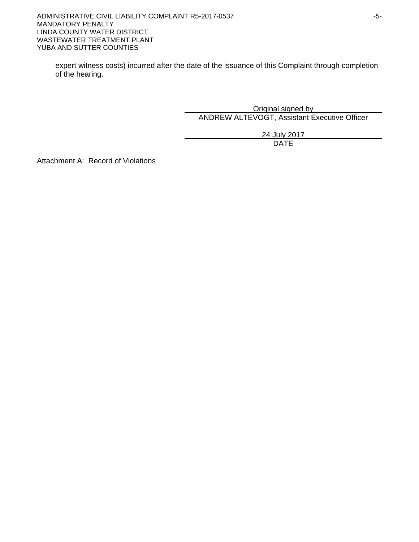expert witness costs) incurred after the date of the issuance of this Complaint through completion of the hearing.

> Original signed by ANDREW ALTEVOGT, Assistant Executive Officer

> > 24 July 2017 DATE

Attachment A: Record of Violations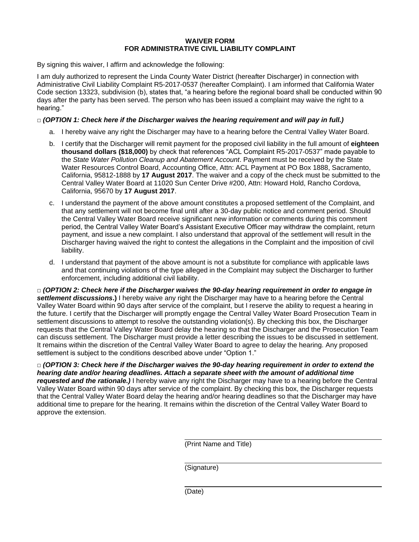#### **WAIVER FORM FOR ADMINISTRATIVE CIVIL LIABILITY COMPLAINT**

By signing this waiver, I affirm and acknowledge the following:

I am duly authorized to represent the Linda County Water District (hereafter Discharger) in connection with Administrative Civil Liability Complaint R5-2017-0537 (hereafter Complaint). I am informed that California Water Code section 13323, subdivision (b), states that, "a hearing before the regional board shall be conducted within 90 days after the party has been served. The person who has been issued a complaint may waive the right to a hearing."

#### **□** *(OPTION 1: Check here if the Discharger waives the hearing requirement and will pay in full.)*

- a. I hereby waive any right the Discharger may have to a hearing before the Central Valley Water Board.
- b. I certify that the Discharger will remit payment for the proposed civil liability in the full amount of **eighteen thousand dollars (\$18,000)** by check that references "ACL Complaint R5-2017-0537" made payable to the *State Water Pollution Cleanup and Abatement Account*. Payment must be received by the State Water Resources Control Board, Accounting Office, Attn: ACL Payment at PO Box 1888, Sacramento, California, 95812-1888 by **17 August 2017**. The waiver and a copy of the check must be submitted to the Central Valley Water Board at 11020 Sun Center Drive #200, Attn: Howard Hold, Rancho Cordova, California, 95670 by **17 August 2017**.
- c. I understand the payment of the above amount constitutes a proposed settlement of the Complaint, and that any settlement will not become final until after a 30-day public notice and comment period. Should the Central Valley Water Board receive significant new information or comments during this comment period, the Central Valley Water Board's Assistant Executive Officer may withdraw the complaint, return payment, and issue a new complaint. I also understand that approval of the settlement will result in the Discharger having waived the right to contest the allegations in the Complaint and the imposition of civil liability.
- d. I understand that payment of the above amount is not a substitute for compliance with applicable laws and that continuing violations of the type alleged in the Complaint may subject the Discharger to further enforcement, including additional civil liability.

**□** *(OPTION 2: Check here if the Discharger waives the 90-day hearing requirement in order to engage in settlement discussions***.)** I hereby waive any right the Discharger may have to a hearing before the Central Valley Water Board within 90 days after service of the complaint, but I reserve the ability to request a hearing in the future. I certify that the Discharger will promptly engage the Central Valley Water Board Prosecution Team in settlement discussions to attempt to resolve the outstanding violation(s). By checking this box, the Discharger requests that the Central Valley Water Board delay the hearing so that the Discharger and the Prosecution Team can discuss settlement. The Discharger must provide a letter describing the issues to be discussed in settlement. It remains within the discretion of the Central Valley Water Board to agree to delay the hearing. Any proposed settlement is subject to the conditions described above under "Option 1."

**□** *(OPTION 3: Check here if the Discharger waives the 90-day hearing requirement in order to extend the hearing date and/or hearing deadlines. Attach a separate sheet with the amount of additional time requested and the rationale.)* I hereby waive any right the Discharger may have to a hearing before the Central Valley Water Board within 90 days after service of the complaint. By checking this box, the Discharger requests that the Central Valley Water Board delay the hearing and/or hearing deadlines so that the Discharger may have additional time to prepare for the hearing. It remains within the discretion of the Central Valley Water Board to approve the extension.

(Print Name and Title)

(Signature)

(Date)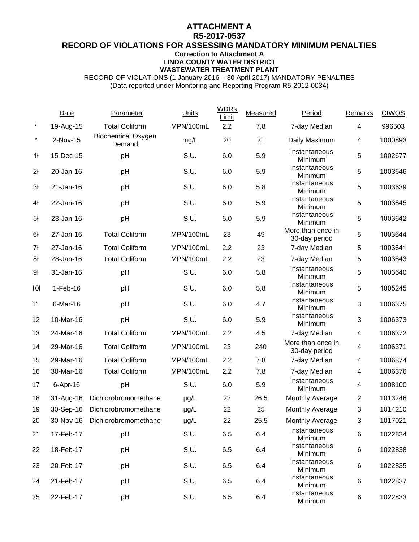### **ATTACHMENT A**

#### **R5-2017-0537 RECORD OF VIOLATIONS FOR ASSESSING MANDATORY MINIMUM PENALTIES Correction to Attachment A LINDA COUNTY WATER DISTRICT**

# **WASTEWATER TREATMENT PLANT**

RECORD OF VIOLATIONS (1 January 2016 – 30 April 2017) MANDATORY PENALTIES (Data reported under Monitoring and Reporting Program R5-2012-0034)

|                 | <b>Date</b>  | Parameter                           | Units     | <b>WDRs</b><br>Limit | Measured | Period                             | <b>Remarks</b> | <b>CIWQS</b> |
|-----------------|--------------|-------------------------------------|-----------|----------------------|----------|------------------------------------|----------------|--------------|
| $\star$         | 19-Aug-15    | <b>Total Coliform</b>               | MPN/100mL | 2.2                  | 7.8      | 7-day Median                       | $\overline{4}$ | 996503       |
| $^\star$        | 2-Nov-15     | <b>Biochemical Oxygen</b><br>Demand | mg/L      | 20                   | 21       | Daily Maximum                      | $\overline{4}$ | 1000893      |
| 1 <sup>1</sup>  | 15-Dec-15    | pH                                  | S.U.      | 6.0                  | 5.9      | Instantaneous<br>Minimum           | 5              | 1002677      |
| 2 <sup>1</sup>  | 20-Jan-16    | pH                                  | S.U.      | 6.0                  | 5.9      | Instantaneous<br>Minimum           | 5              | 1003646      |
| 3 <sup>1</sup>  | $21$ -Jan-16 | pH                                  | S.U.      | 6.0                  | 5.8      | Instantaneous<br>Minimum           | $\sqrt{5}$     | 1003639      |
| 4ł              | 22-Jan-16    | pH                                  | S.U.      | 6.0                  | 5.9      | Instantaneous<br>Minimum           | 5              | 1003645      |
| 5 <sup>1</sup>  | 23-Jan-16    | pH                                  | S.U.      | 6.0                  | 5.9      | Instantaneous<br>Minimum           | 5              | 1003642      |
| 6ł              | 27-Jan-16    | <b>Total Coliform</b>               | MPN/100mL | 23                   | 49       | More than once in<br>30-day period | 5              | 1003644      |
| 7ł              | 27-Jan-16    | <b>Total Coliform</b>               | MPN/100mL | 2.2                  | 23       | 7-day Median                       | 5              | 1003641      |
| 8ł              | 28-Jan-16    | <b>Total Coliform</b>               | MPN/100mL | 2.2                  | 23       | 7-day Median                       | 5              | 1003643      |
| 9ł              | 31-Jan-16    | pH                                  | S.U.      | 6.0                  | 5.8      | Instantaneous<br>Minimum           | 5              | 1003640      |
| 10 <sup>1</sup> | $1-Feb-16$   | pH                                  | S.U.      | 6.0                  | 5.8      | Instantaneous<br>Minimum           | 5              | 1005245      |
| 11              | 6-Mar-16     | pH                                  | S.U.      | 6.0                  | 4.7      | Instantaneous<br>Minimum           | $\sqrt{3}$     | 1006375      |
| 12              | 10-Mar-16    | pH                                  | S.U.      | 6.0                  | 5.9      | Instantaneous<br>Minimum           | 3              | 1006373      |
| 13              | 24-Mar-16    | <b>Total Coliform</b>               | MPN/100mL | 2.2                  | 4.5      | 7-day Median                       | $\overline{4}$ | 1006372      |
| 14              | 29-Mar-16    | <b>Total Coliform</b>               | MPN/100mL | 23                   | 240      | More than once in<br>30-day period | $\overline{4}$ | 1006371      |
| 15              | 29-Mar-16    | <b>Total Coliform</b>               | MPN/100mL | 2.2                  | 7.8      | 7-day Median                       | $\overline{4}$ | 1006374      |
| 16              | 30-Mar-16    | <b>Total Coliform</b>               | MPN/100mL | 2.2                  | 7.8      | 7-day Median                       | $\overline{4}$ | 1006376      |
| 17              | 6-Apr-16     | pH                                  | S.U.      | 6.0                  | 5.9      | Instantaneous<br>Minimum           | $\overline{4}$ | 1008100      |
| 18              | 31-Aug-16    | Dichlorobromomethane                | $\mu$ g/L | 22                   | 26.5     | Monthly Average                    | $\overline{2}$ | 1013246      |
| 19              | 30-Sep-16    | Dichlorobromomethane                | $\mu$ g/L | 22                   | 25       | Monthly Average                    | 3              | 1014210      |
| 20              | 30-Nov-16    | Dichlorobromomethane                | $\mu$ g/L | 22                   | 25.5     | Monthly Average                    | 3              | 1017021      |
| 21              | 17-Feb-17    | pH                                  | S.U.      | 6.5                  | 6.4      | Instantaneous<br>Minimum           | 6              | 1022834      |
| 22              | 18-Feb-17    | pH                                  | S.U.      | 6.5                  | 6.4      | Instantaneous<br>Minimum           | 6              | 1022838      |
| 23              | 20-Feb-17    | pH                                  | S.U.      | 6.5                  | 6.4      | Instantaneous<br>Minimum           | 6              | 1022835      |
| 24              | 21-Feb-17    | pH                                  | S.U.      | 6.5                  | 6.4      | Instantaneous<br>Minimum           | 6              | 1022837      |
| 25              | 22-Feb-17    | pH                                  | S.U.      | 6.5                  | 6.4      | Instantaneous<br>Minimum           | 6              | 1022833      |